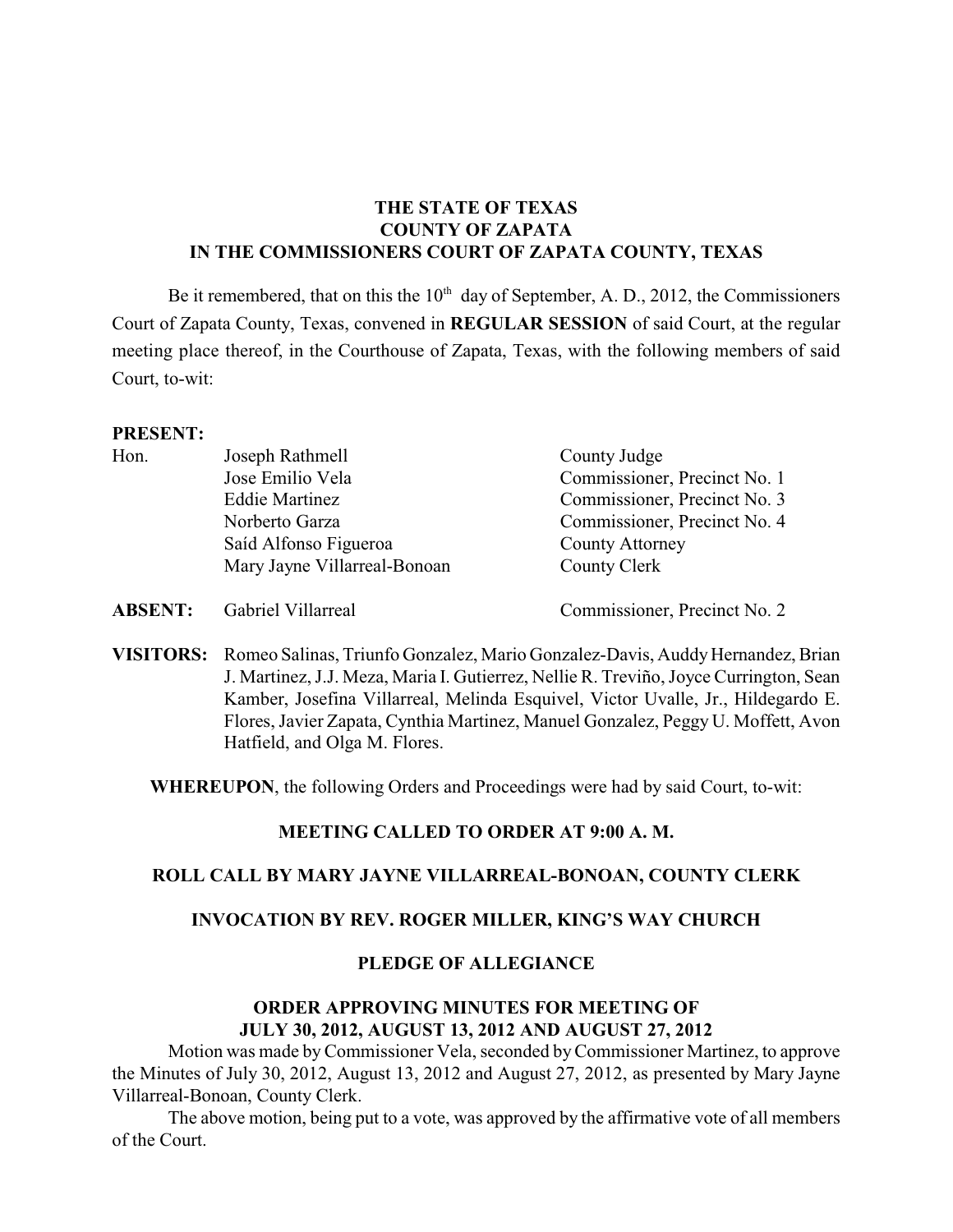# **THE STATE OF TEXAS COUNTY OF ZAPATA IN THE COMMISSIONERS COURT OF ZAPATA COUNTY, TEXAS**

Be it remembered, that on this the  $10<sup>th</sup>$  day of September, A. D., 2012, the Commissioners Court of Zapata County, Texas, convened in **REGULAR SESSION** of said Court, at the regular meeting place thereof, in the Courthouse of Zapata, Texas, with the following members of said Court, to-wit:

### **PRESENT:**

| Hon. | Joseph Rathmell              | County Judge                 |  |
|------|------------------------------|------------------------------|--|
|      | Jose Emilio Vela             | Commissioner, Precinct No. 1 |  |
|      | <b>Eddie Martinez</b>        | Commissioner, Precinct No. 3 |  |
|      | Norberto Garza               | Commissioner, Precinct No. 4 |  |
|      | Saíd Alfonso Figueroa        | <b>County Attorney</b>       |  |
|      | Mary Jayne Villarreal-Bonoan | County Clerk                 |  |
|      |                              |                              |  |

**ABSENT:** Gabriel Villarreal Commissioner, Precinct No. 2

**VISITORS:** Romeo Salinas, Triunfo Gonzalez, Mario Gonzalez-Davis, Auddy Hernandez, Brian J. Martinez, J.J. Meza, Maria I. Gutierrez, Nellie R. Treviño, Joyce Currington, Sean Kamber, Josefina Villarreal, Melinda Esquivel, Victor Uvalle, Jr., Hildegardo E. Flores, Javier Zapata, Cynthia Martinez, Manuel Gonzalez, Peggy U. Moffett, Avon Hatfield, and Olga M. Flores.

**WHEREUPON**, the following Orders and Proceedings were had by said Court, to-wit:

# **MEETING CALLED TO ORDER AT 9:00 A. M.**

### **ROLL CALL BY MARY JAYNE VILLARREAL-BONOAN, COUNTY CLERK**

### **INVOCATION BY REV. ROGER MILLER, KING'S WAY CHURCH**

#### **PLEDGE OF ALLEGIANCE**

### **ORDER APPROVING MINUTES FOR MEETING OF JULY 30, 2012, AUGUST 13, 2012 AND AUGUST 27, 2012**

Motion was made byCommissioner Vela, seconded by Commissioner Martinez, to approve the Minutes of July 30, 2012, August 13, 2012 and August 27, 2012, as presented by Mary Jayne Villarreal-Bonoan, County Clerk.

The above motion, being put to a vote, was approved by the affirmative vote of all members of the Court.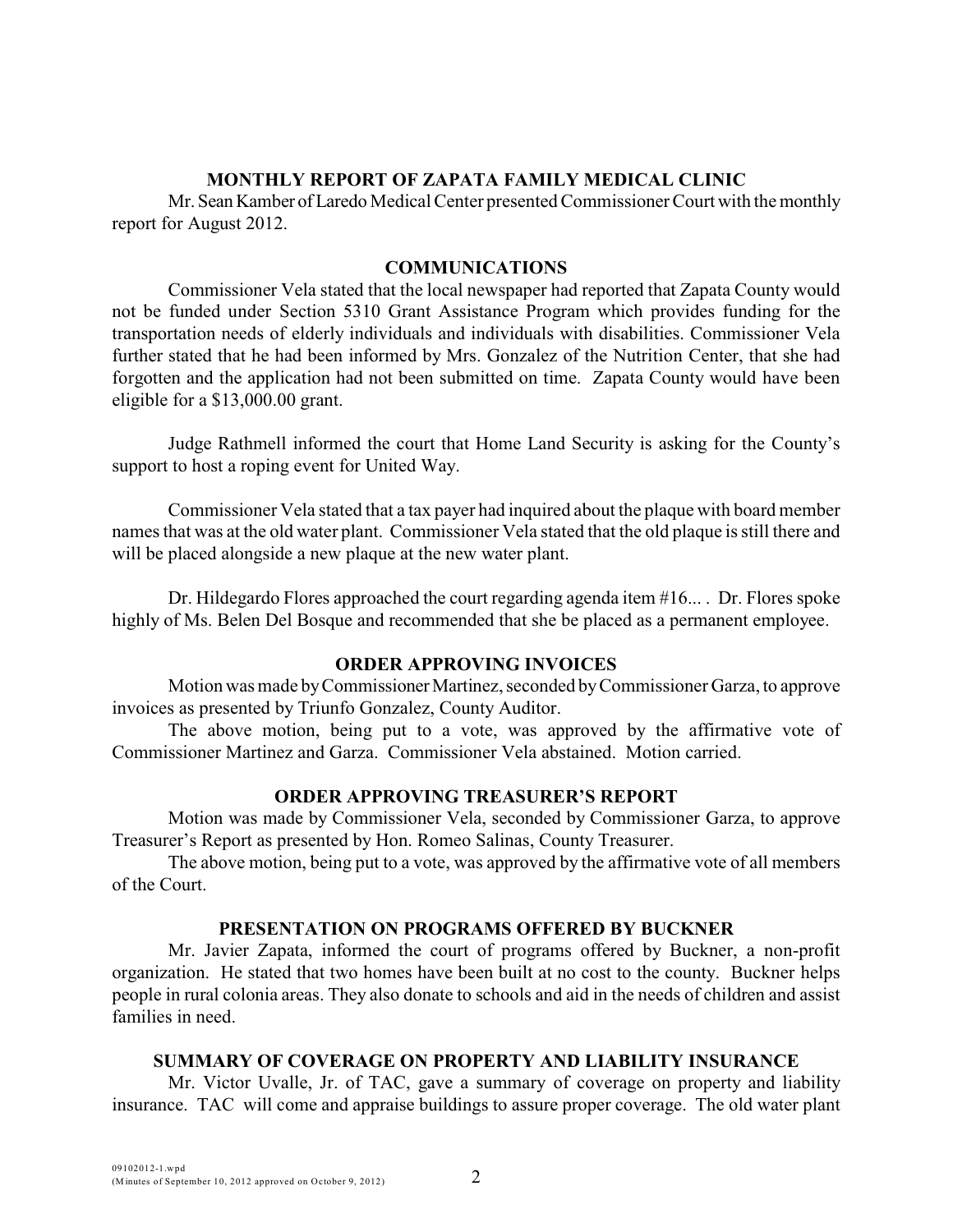### **MONTHLY REPORT OF ZAPATA FAMILY MEDICAL CLINIC**

Mr. Sean Kamber of Laredo Medical Center presented Commissioner Court with the monthly report for August 2012.

### **COMMUNICATIONS**

Commissioner Vela stated that the local newspaper had reported that Zapata County would not be funded under Section 5310 Grant Assistance Program which provides funding for the transportation needs of elderly individuals and individuals with disabilities. Commissioner Vela further stated that he had been informed by Mrs. Gonzalez of the Nutrition Center, that she had forgotten and the application had not been submitted on time. Zapata County would have been eligible for a \$13,000.00 grant.

Judge Rathmell informed the court that Home Land Security is asking for the County's support to host a roping event for United Way.

Commissioner Vela stated that a tax payer had inquired about the plaque with board member names that was at the old water plant. Commissioner Vela stated that the old plaque is still there and will be placed alongside a new plaque at the new water plant.

Dr. Hildegardo Flores approached the court regarding agenda item #16... . Dr. Flores spoke highly of Ms. Belen Del Bosque and recommended that she be placed as a permanent employee.

### **ORDER APPROVING INVOICES**

Motion was made by Commissioner Martinez, seconded by Commissioner Garza, to approve invoices as presented by Triunfo Gonzalez, County Auditor.

The above motion, being put to a vote, was approved by the affirmative vote of Commissioner Martinez and Garza. Commissioner Vela abstained. Motion carried.

## **ORDER APPROVING TREASURER'S REPORT**

Motion was made by Commissioner Vela, seconded by Commissioner Garza, to approve Treasurer's Report as presented by Hon. Romeo Salinas, County Treasurer.

The above motion, being put to a vote, was approved by the affirmative vote of all members of the Court.

### **PRESENTATION ON PROGRAMS OFFERED BY BUCKNER**

Mr. Javier Zapata, informed the court of programs offered by Buckner, a non-profit organization. He stated that two homes have been built at no cost to the county. Buckner helps people in rural colonia areas. They also donate to schools and aid in the needs of children and assist families in need.

### **SUMMARY OF COVERAGE ON PROPERTY AND LIABILITY INSURANCE**

Mr. Victor Uvalle, Jr. of TAC, gave a summary of coverage on property and liability insurance. TAC will come and appraise buildings to assure proper coverage. The old water plant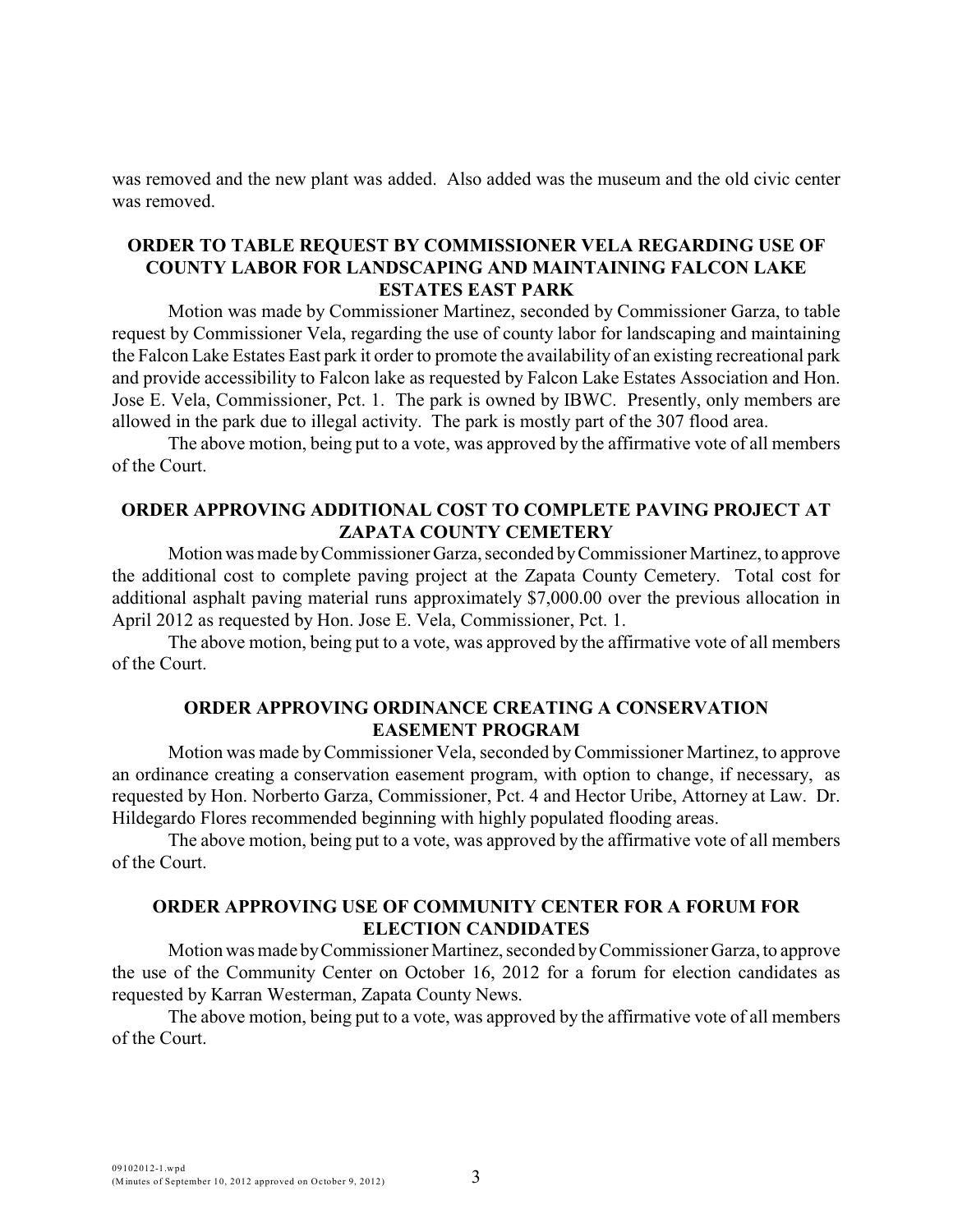was removed and the new plant was added. Also added was the museum and the old civic center was removed.

## **ORDER TO TABLE REQUEST BY COMMISSIONER VELA REGARDING USE OF COUNTY LABOR FOR LANDSCAPING AND MAINTAINING FALCON LAKE ESTATES EAST PARK**

Motion was made by Commissioner Martinez, seconded by Commissioner Garza, to table request by Commissioner Vela, regarding the use of county labor for landscaping and maintaining the Falcon Lake Estates East park it order to promote the availability of an existing recreational park and provide accessibility to Falcon lake as requested by Falcon Lake Estates Association and Hon. Jose E. Vela, Commissioner, Pct. 1. The park is owned by IBWC. Presently, only members are allowed in the park due to illegal activity. The park is mostly part of the 307 flood area.

The above motion, being put to a vote, was approved by the affirmative vote of all members of the Court.

### **ORDER APPROVING ADDITIONAL COST TO COMPLETE PAVING PROJECT AT ZAPATA COUNTY CEMETERY**

Motion was made by Commissioner Garza, seconded by Commissioner Martinez, to approve the additional cost to complete paving project at the Zapata County Cemetery. Total cost for additional asphalt paving material runs approximately \$7,000.00 over the previous allocation in April 2012 as requested by Hon. Jose E. Vela, Commissioner, Pct. 1.

The above motion, being put to a vote, was approved by the affirmative vote of all members of the Court.

### **ORDER APPROVING ORDINANCE CREATING A CONSERVATION EASEMENT PROGRAM**

Motion was made by Commissioner Vela, seconded byCommissioner Martinez, to approve an ordinance creating a conservation easement program, with option to change, if necessary, as requested by Hon. Norberto Garza, Commissioner, Pct. 4 and Hector Uribe, Attorney at Law. Dr. Hildegardo Flores recommended beginning with highly populated flooding areas.

The above motion, being put to a vote, was approved by the affirmative vote of all members of the Court.

# **ORDER APPROVING USE OF COMMUNITY CENTER FOR A FORUM FOR ELECTION CANDIDATES**

Motion was made by Commissioner Martinez, seconded by Commissioner Garza, to approve the use of the Community Center on October 16, 2012 for a forum for election candidates as requested by Karran Westerman, Zapata County News.

The above motion, being put to a vote, was approved by the affirmative vote of all members of the Court.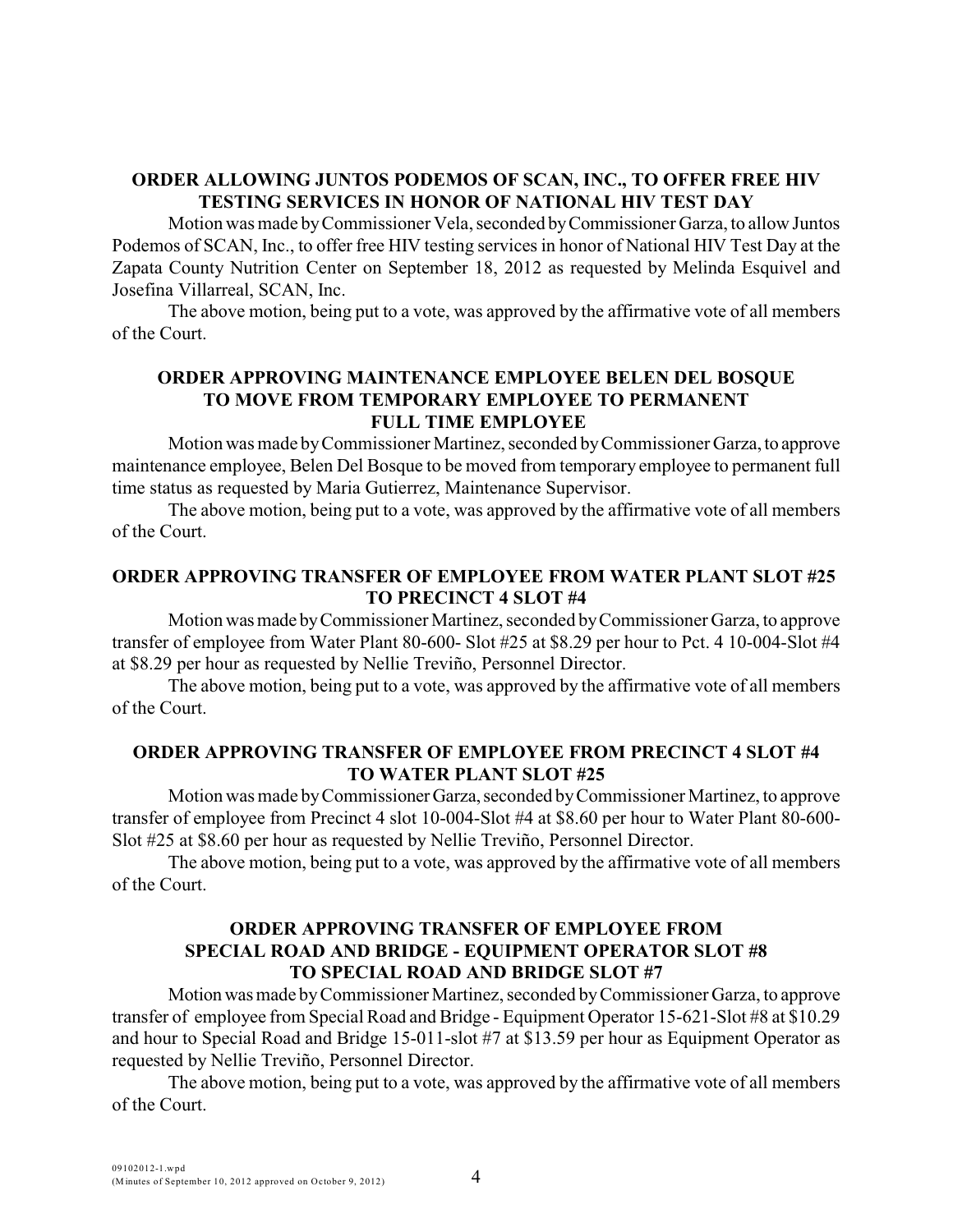## **ORDER ALLOWING JUNTOS PODEMOS OF SCAN, INC., TO OFFER FREE HIV TESTING SERVICES IN HONOR OF NATIONAL HIV TEST DAY**

Motion was made by Commissioner Vela, seconded by Commissioner Garza, to allow Juntos Podemos of SCAN, Inc., to offer free HIV testing services in honor of National HIV Test Day at the Zapata County Nutrition Center on September 18, 2012 as requested by Melinda Esquivel and Josefina Villarreal, SCAN, Inc.

The above motion, being put to a vote, was approved by the affirmative vote of all members of the Court.

# **ORDER APPROVING MAINTENANCE EMPLOYEE BELEN DEL BOSQUE TO MOVE FROM TEMPORARY EMPLOYEE TO PERMANENT FULL TIME EMPLOYEE**

Motion was made by Commissioner Martinez, seconded by Commissioner Garza, to approve maintenance employee, Belen Del Bosque to be moved from temporary employee to permanent full time status as requested by Maria Gutierrez, Maintenance Supervisor.

The above motion, being put to a vote, was approved by the affirmative vote of all members of the Court.

## **ORDER APPROVING TRANSFER OF EMPLOYEE FROM WATER PLANT SLOT #25 TO PRECINCT 4 SLOT #4**

Motion was made by Commissioner Martinez, seconded by Commissioner Garza, to approve transfer of employee from Water Plant 80-600- Slot #25 at \$8.29 per hour to Pct. 4 10-004-Slot #4 at \$8.29 per hour as requested by Nellie Treviño, Personnel Director.

The above motion, being put to a vote, was approved by the affirmative vote of all members of the Court.

### **ORDER APPROVING TRANSFER OF EMPLOYEE FROM PRECINCT 4 SLOT #4 TO WATER PLANT SLOT #25**

Motion was made by Commissioner Garza, seconded by Commissioner Martinez, to approve transfer of employee from Precinct 4 slot 10-004-Slot #4 at \$8.60 per hour to Water Plant 80-600- Slot #25 at \$8.60 per hour as requested by Nellie Treviño, Personnel Director.

The above motion, being put to a vote, was approved by the affirmative vote of all members of the Court.

#### **ORDER APPROVING TRANSFER OF EMPLOYEE FROM SPECIAL ROAD AND BRIDGE - EQUIPMENT OPERATOR SLOT #8 TO SPECIAL ROAD AND BRIDGE SLOT #7**

Motion was made by Commissioner Martinez, seconded by Commissioner Garza, to approve transfer of employee from Special Road and Bridge - Equipment Operator 15-621-Slot #8 at \$10.29 and hour to Special Road and Bridge 15-011-slot #7 at \$13.59 per hour as Equipment Operator as requested by Nellie Treviño, Personnel Director.

The above motion, being put to a vote, was approved by the affirmative vote of all members of the Court.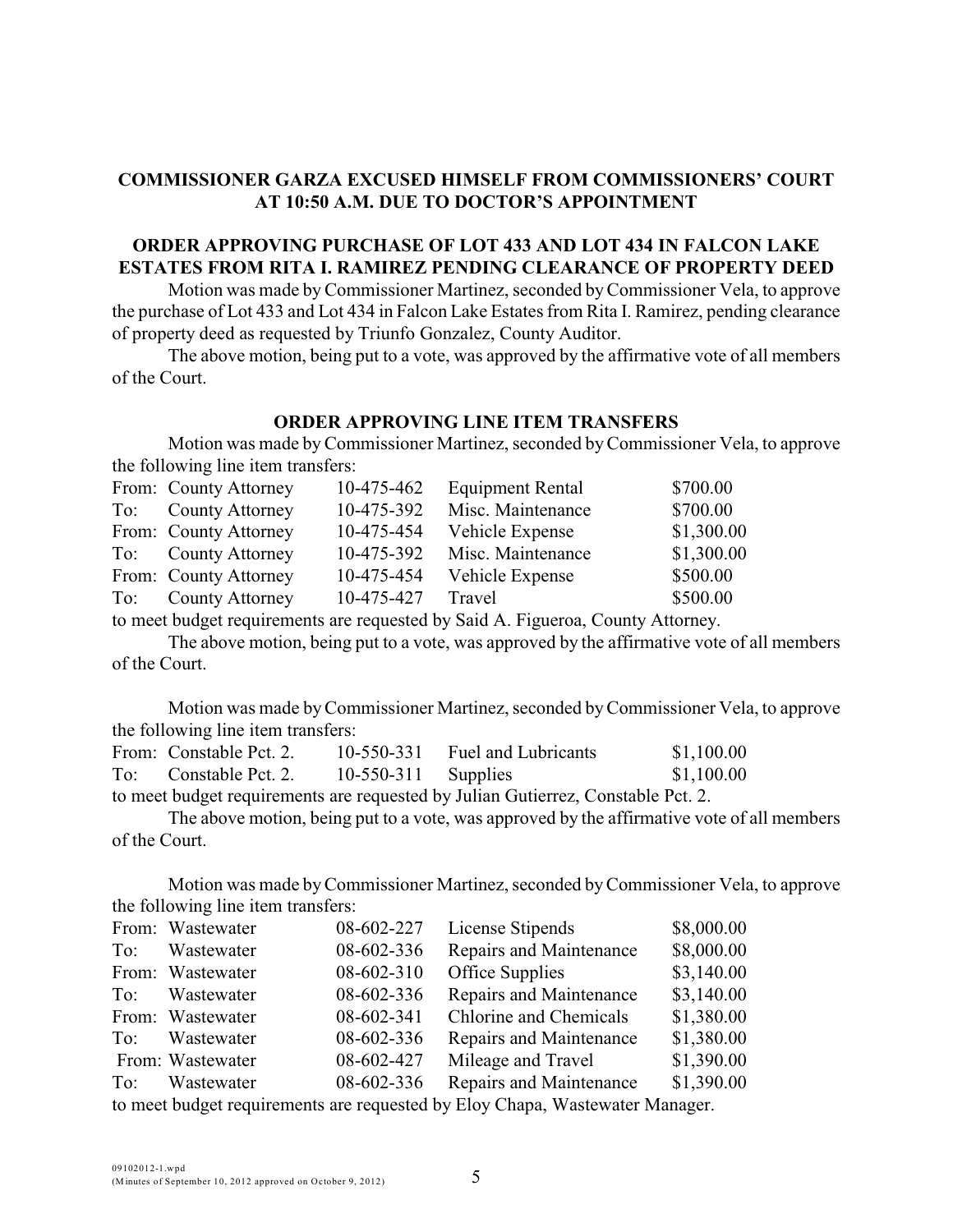## **COMMISSIONER GARZA EXCUSED HIMSELF FROM COMMISSIONERS' COURT AT 10:50 A.M. DUE TO DOCTOR'S APPOINTMENT**

## **ORDER APPROVING PURCHASE OF LOT 433 AND LOT 434 IN FALCON LAKE ESTATES FROM RITA I. RAMIREZ PENDING CLEARANCE OF PROPERTY DEED**

Motion was made byCommissioner Martinez, seconded by Commissioner Vela, to approve the purchase of Lot 433 and Lot 434 in Falcon Lake Estates from Rita I. Ramirez, pending clearance of property deed as requested by Triunfo Gonzalez, County Auditor.

The above motion, being put to a vote, was approved by the affirmative vote of all members of the Court.

### **ORDER APPROVING LINE ITEM TRANSFERS**

Motion was made byCommissioner Martinez, seconded by Commissioner Vela, to approve the following line item transfers:

| From: County Attorney | 10-475-462 | <b>Equipment Rental</b> | \$700.00   |
|-----------------------|------------|-------------------------|------------|
| To: County Attorney   | 10-475-392 | Misc. Maintenance       | \$700.00   |
| From: County Attorney | 10-475-454 | Vehicle Expense         | \$1,300.00 |
| To: County Attorney   | 10-475-392 | Misc. Maintenance       | \$1,300.00 |
| From: County Attorney | 10-475-454 | Vehicle Expense         | \$500.00   |
| To: County Attorney   | 10-475-427 | Travel                  | \$500.00   |

to meet budget requirements are requested by Said A. Figueroa, County Attorney.

The above motion, being put to a vote, was approved by the affirmative vote of all members of the Court.

Motion was made by Commissioner Martinez, seconded byCommissioner Vela, to approve the following line item transfers:

| From: Constable Pct. 2. |                       | 10-550-331 Fuel and Lubricants | \$1,100.00 |
|-------------------------|-----------------------|--------------------------------|------------|
| To: Constable Pct. 2.   | $10-550-311$ Supplies |                                | \$1,100.00 |
|                         |                       |                                |            |

to meet budget requirements are requested by Julian Gutierrez, Constable Pct. 2.

The above motion, being put to a vote, was approved by the affirmative vote of all members of the Court.

Motion was made byCommissioner Martinez, seconded byCommissioner Vela, to approve the following line item transfers:

|     | From: Wastewater | 08-602-227 | License Stipends                                                                                                                                                                                                                                                                                 | \$8,000.00 |
|-----|------------------|------------|--------------------------------------------------------------------------------------------------------------------------------------------------------------------------------------------------------------------------------------------------------------------------------------------------|------------|
| To: | Wastewater       | 08-602-336 | Repairs and Maintenance                                                                                                                                                                                                                                                                          | \$8,000.00 |
|     | From: Wastewater | 08-602-310 | Office Supplies                                                                                                                                                                                                                                                                                  | \$3,140.00 |
|     | To: Wastewater   | 08-602-336 | Repairs and Maintenance                                                                                                                                                                                                                                                                          | \$3,140.00 |
|     | From: Wastewater | 08-602-341 | Chlorine and Chemicals                                                                                                                                                                                                                                                                           | \$1,380.00 |
|     | To: Wastewater   | 08-602-336 | Repairs and Maintenance                                                                                                                                                                                                                                                                          | \$1,380.00 |
|     | From: Wastewater | 08-602-427 | Mileage and Travel                                                                                                                                                                                                                                                                               | \$1,390.00 |
|     | To: Wastewater   | 08-602-336 | Repairs and Maintenance                                                                                                                                                                                                                                                                          | \$1,390.00 |
|     |                  |            | $\mathbf{r}$ and $\mathbf{r}$ and $\mathbf{r}$ and $\mathbf{r}$ and $\mathbf{r}$ and $\mathbf{r}$ and $\mathbf{r}$ and $\mathbf{r}$ and $\mathbf{r}$ and $\mathbf{r}$ and $\mathbf{r}$ and $\mathbf{r}$ and $\mathbf{r}$ and $\mathbf{r}$ and $\mathbf{r}$ and $\mathbf{r}$ and $\mathbf{r}$ and |            |

to meet budget requirements are requested by Eloy Chapa, Wastewater Manager.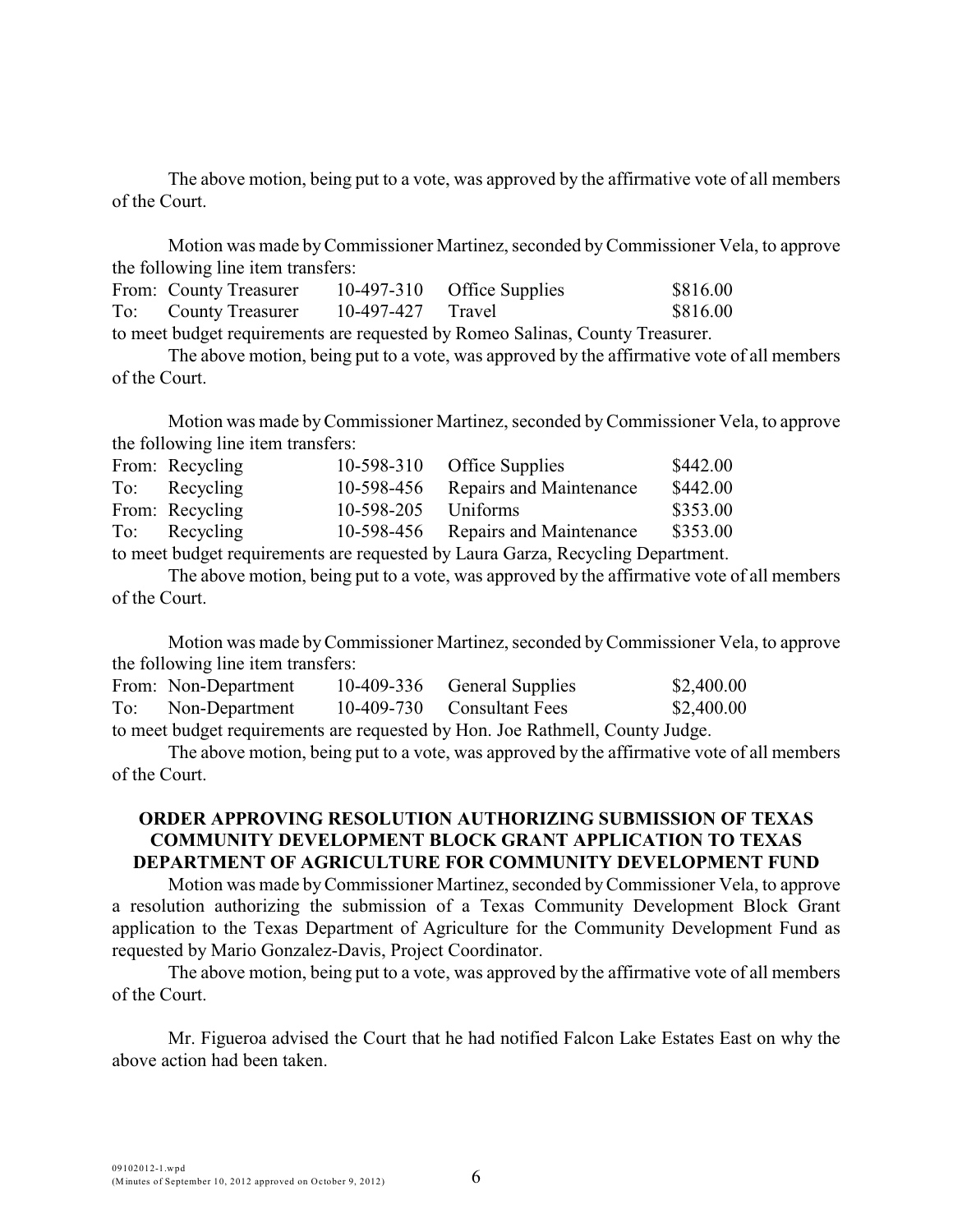The above motion, being put to a vote, was approved by the affirmative vote of all members of the Court.

Motion was made byCommissioner Martinez, seconded by Commissioner Vela, to approve the following line item transfers:

| From: County Treasurer                                                        |                   | $10-497-310$ Office Supplies | \$816.00 |
|-------------------------------------------------------------------------------|-------------------|------------------------------|----------|
| To: County Treasurer                                                          | 10-497-427 Travel |                              | \$816.00 |
| to meet budget requirements are requested by Romeo Salinas, County Treasurer. |                   |                              |          |

The above motion, being put to a vote, was approved by the affirmative vote of all members of the Court.

Motion was made by Commissioner Martinez, seconded byCommissioner Vela, to approve the following line item transfers:

| From: Recycling |                     | 10-598-310 Office Supplies                                                                                                                                                                                                                                                                     | \$442.00 |
|-----------------|---------------------|------------------------------------------------------------------------------------------------------------------------------------------------------------------------------------------------------------------------------------------------------------------------------------------------|----------|
| To: Recycling   |                     | 10-598-456 Repairs and Maintenance                                                                                                                                                                                                                                                             | \$442.00 |
| From: Recycling | 10-598-205 Uniforms |                                                                                                                                                                                                                                                                                                | \$353.00 |
| To: Recycling   |                     | 10-598-456 Repairs and Maintenance                                                                                                                                                                                                                                                             | \$353.00 |
|                 |                     | $\lambda$ and $\lambda$ is a set of the set of $\lambda$ in the set of $\lambda$ is a set of $\lambda$ is a set of $\lambda$ is a set of $\lambda$ is a set of $\lambda$ is a set of $\lambda$ is a set of $\lambda$ is a set of $\lambda$ is a set of $\lambda$ is a set of $\lambda$ is a se |          |

to meet budget requirements are requested by Laura Garza, Recycling Department.

The above motion, being put to a vote, was approved by the affirmative vote of all members of the Court.

Motion was made byCommissioner Martinez, seconded byCommissioner Vela, to approve the following line item transfers:

| From: Non-Department                                                                                                            | 10-409-336 General Supplies | \$2,400.00 |
|---------------------------------------------------------------------------------------------------------------------------------|-----------------------------|------------|
| To: Non-Department                                                                                                              | 10-409-730 Consultant Fees  | \$2,400.00 |
| $\mu$ , and at $1$ , $1$ , $\mu$ and and an early constant of $\mu$ and $\mu$ and $\mu$ and $\mu$ and $\mu$ and $\mu$ and $\mu$ |                             |            |

to meet budget requirements are requested by Hon. Joe Rathmell, County Judge.

The above motion, being put to a vote, was approved by the affirmative vote of all members of the Court.

### **ORDER APPROVING RESOLUTION AUTHORIZING SUBMISSION OF TEXAS COMMUNITY DEVELOPMENT BLOCK GRANT APPLICATION TO TEXAS DEPARTMENT OF AGRICULTURE FOR COMMUNITY DEVELOPMENT FUND**

Motion was made byCommissioner Martinez, seconded byCommissioner Vela, to approve a resolution authorizing the submission of a Texas Community Development Block Grant application to the Texas Department of Agriculture for the Community Development Fund as requested by Mario Gonzalez-Davis, Project Coordinator.

The above motion, being put to a vote, was approved by the affirmative vote of all members of the Court.

Mr. Figueroa advised the Court that he had notified Falcon Lake Estates East on why the above action had been taken.